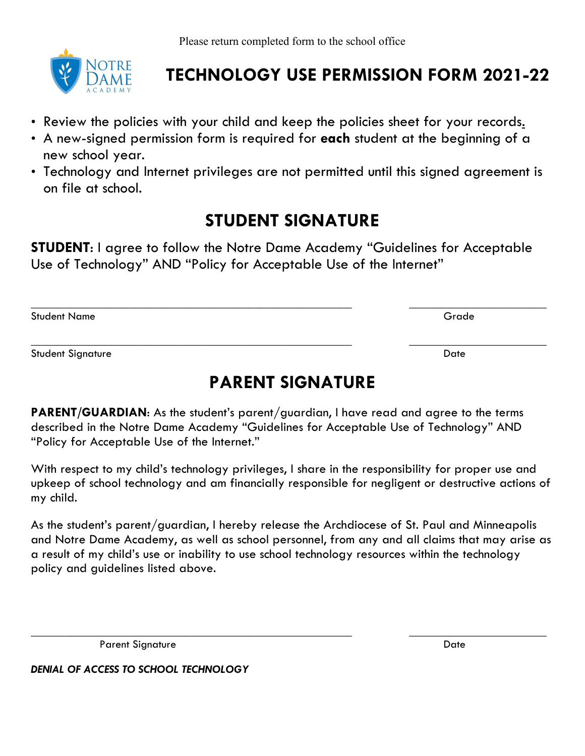

## **TECHNOLOGY USE PERMISSION FORM 2021-22**

- Review the policies with your child and keep the policies sheet for your records.
- A new-signed permission form is required for **each** student at the beginning of a new school year.
- Technology and Internet privileges are not permitted until this signed agreement is on file at school.

## **STUDENT SIGNATURE**

**STUDENT**: I agree to follow the Notre Dame Academy "Guidelines for Acceptable Use of Technology" AND "Policy for Acceptable Use of the Internet"

\_\_\_\_\_\_\_\_\_\_\_\_\_\_\_\_\_\_\_\_\_\_\_\_\_\_\_\_\_\_\_\_\_\_\_\_\_\_\_\_\_\_\_\_\_\_\_\_\_\_\_\_\_\_\_\_ \_\_\_\_\_\_\_\_\_\_\_\_\_\_\_\_\_\_\_\_\_\_\_\_ Student Name Grade

Student Signature Date Date of the Student Signature Date of the Date of the Date of the Date of the Date of the Date of the Date of the Date of the Date of the Date of the Date of the Date of the Date of the Date of the D

## **PARENT SIGNATURE**

\_\_\_\_\_\_\_\_\_\_\_\_\_\_\_\_\_\_\_\_\_\_\_\_\_\_\_\_\_\_\_\_\_\_\_\_\_\_\_\_\_\_\_\_\_\_\_\_\_\_\_\_\_\_\_\_ \_\_\_\_\_\_\_\_\_\_\_\_\_\_\_\_\_\_\_\_\_\_\_\_

**PARENT/GUARDIAN**: As the student's parent/guardian, I have read and agree to the terms described in the Notre Dame Academy "Guidelines for Acceptable Use of Technology" AND "Policy for Acceptable Use of the Internet."

With respect to my child's technology privileges, I share in the responsibility for proper use and upkeep of school technology and am financially responsible for negligent or destructive actions of my child.

As the student's parent/guardian, I hereby release the Archdiocese of St. Paul and Minneapolis and Notre Dame Academy, as well as school personnel, from any and all claims that may arise as a result of my child's use or inability to use school technology resources within the technology policy and guidelines listed above.

\_\_\_\_\_\_\_\_\_\_\_\_\_\_\_\_\_\_\_\_\_\_\_\_\_\_\_\_\_\_\_\_\_\_\_\_\_\_\_\_\_\_\_\_\_\_\_\_\_\_\_\_\_\_\_\_ \_\_\_\_\_\_\_\_\_\_\_\_\_\_\_\_\_\_\_\_\_\_\_\_

Parent Signature Date Date of the Date of the Date Date Date of the Date of the Date of the Date of the Date of the Date of the Date of the Date of the Date of the Date of the Date of the Date of the Date of the Date of th

*DENIAL OF ACCESS TO SCHOOL TECHNOLOGY*